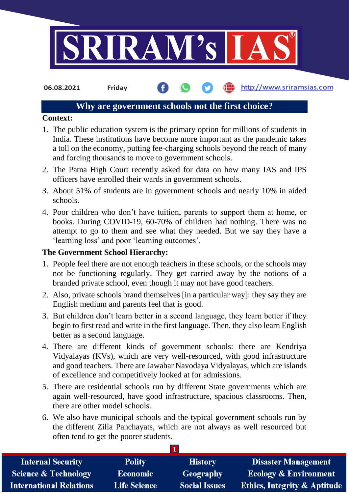

http://www.sriramsias.com **06.08.2021 Friday**

#### **Why are government schools not the first choice?**

#### **Context:**

- 1. The public education system is the primary option for millions of students in India. These institutions have become more important as the pandemic takes a toll on the economy, putting fee-charging schools beyond the reach of many and forcing thousands to move to government schools.
- 2. The Patna High Court recently asked for data on how many IAS and IPS officers have enrolled their wards in government schools.
- 3. About 51% of students are in government schools and nearly 10% in aided schools.
- 4. Poor children who don't have tuition, parents to support them at home, or books. During COVID-19, 60-70% of children had nothing. There was no attempt to go to them and see what they needed. But we say they have a 'learning loss' and poor 'learning outcomes'.

# **The Government School Hierarchy:**

- 1. People feel there are not enough teachers in these schools, or the schools may not be functioning regularly. They get carried away by the notions of a branded private school, even though it may not have good teachers.
- 2. Also, private schools brand themselves [in a particular way]: they say they are English medium and parents feel that is good.
- 3. But children don't learn better in a second language, they learn better if they begin to first read and write in the first language. Then, they also learn English better as a second language.
- 4. There are different kinds of government schools: there are Kendriya Vidyalayas (KVs), which are very well-resourced, with good infrastructure and good teachers. There are Jawahar Navodaya Vidyalayas, which are islands of excellence and competitively looked at for admissions.
- 5. There are residential schools run by different State governments which are again well-resourced, have good infrastructure, spacious classrooms. Then, there are other model schools.
- 6. We also have municipal schools and the typical government schools run by the different Zilla Panchayats, which are not always as well resourced but often tend to get the poorer students.

| <b>Internal Security</b>        | <b>Polity</b>       | <b>History</b>       | <b>Disaster Management</b>              |
|---------------------------------|---------------------|----------------------|-----------------------------------------|
| <b>Science &amp; Technology</b> | <b>Economic</b>     | Geography            | <b>Ecology &amp; Environment</b>        |
| <b>International Relations</b>  | <b>Life Science</b> | <b>Social Issues</b> | <b>Ethics, Integrity &amp; Aptitude</b> |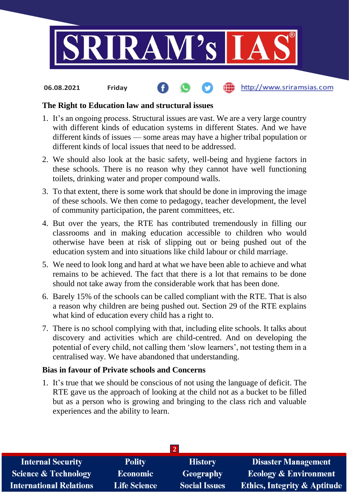

#### the http://www.sriramsias.com **06.08.2021 Friday**

# **The Right to Education law and structural issues**

- 1. It's an ongoing process. Structural issues are vast. We are a very large country with different kinds of education systems in different States. And we have different kinds of issues — some areas may have a higher tribal population or different kinds of local issues that need to be addressed.
- 2. We should also look at the basic safety, well-being and hygiene factors in these schools. There is no reason why they cannot have well functioning toilets, drinking water and proper compound walls.
- 3. To that extent, there is some work that should be done in improving the image of these schools. We then come to pedagogy, teacher development, the level of community participation, the parent committees, etc.
- 4. But over the years, the RTE has contributed tremendously in filling our classrooms and in making education accessible to children who would otherwise have been at risk of slipping out or being pushed out of the education system and into situations like child labour or child marriage.
- 5. We need to look long and hard at what we have been able to achieve and what remains to be achieved. The fact that there is a lot that remains to be done should not take away from the considerable work that has been done.
- 6. Barely 15% of the schools can be called compliant with the RTE. That is also a reason why children are being pushed out. Section 29 of the RTE explains what kind of education every child has a right to.
- 7. There is no school complying with that, including elite schools. It talks about discovery and activities which are child-centred. And on developing the potential of every child, not calling them 'slow learners', not testing them in a centralised way. We have abandoned that understanding.

# **Bias in favour of Private schools and Concerns**

1. It's true that we should be conscious of not using the language of deficit. The RTE gave us the approach of looking at the child not as a bucket to be filled but as a person who is growing and bringing to the class rich and valuable experiences and the ability to learn.

| <b>Internal Security</b>        | <b>Polity</b>       | <b>History</b>       | <b>Disaster Management</b>              |  |  |  |
|---------------------------------|---------------------|----------------------|-----------------------------------------|--|--|--|
| <b>Science &amp; Technology</b> | <b>Economic</b>     | Geography            | <b>Ecology &amp; Environment</b>        |  |  |  |
| <b>International Relations</b>  | <b>Life Science</b> | <b>Social Issues</b> | <b>Ethics, Integrity &amp; Aptitude</b> |  |  |  |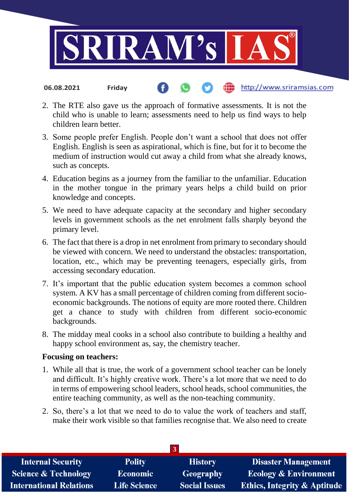

2. The RTE also gave us the approach of formative assessments. It is not the child who is unable to learn; assessments need to help us find ways to help children learn better.

http://www.sriramsias.com

- 3. Some people prefer English. People don't want a school that does not offer English. English is seen as aspirational, which is fine, but for it to become the medium of instruction would cut away a child from what she already knows, such as concepts.
- 4. Education begins as a journey from the familiar to the unfamiliar. Education in the mother tongue in the primary years helps a child build on prior knowledge and concepts.
- 5. We need to have adequate capacity at the secondary and higher secondary levels in government schools as the net enrolment falls sharply beyond the primary level.
- 6. The fact that there is a drop in net enrolment from primary to secondary should be viewed with concern. We need to understand the obstacles: transportation, location, etc., which may be preventing teenagers, especially girls, from accessing secondary education.
- 7. It's important that the public education system becomes a common school system. A KV has a small percentage of children coming from different socioeconomic backgrounds. The notions of equity are more rooted there. Children get a chance to study with children from different socio-economic backgrounds.
- 8. The midday meal cooks in a school also contribute to building a healthy and happy school environment as, say, the chemistry teacher.

# **Focusing on teachers:**

**06.08.2021 Friday**

- 1. While all that is true, the work of a government school teacher can be lonely and difficult. It's highly creative work. There's a lot more that we need to do in terms of empowering school leaders, school heads, school communities, the entire teaching community, as well as the non-teaching community.
- 2. So, there's a lot that we need to do to value the work of teachers and staff, make their work visible so that families recognise that. We also need to create

| 3 <sup>1</sup>                  |                     |                      |                                         |  |  |  |
|---------------------------------|---------------------|----------------------|-----------------------------------------|--|--|--|
| <b>Internal Security</b>        | <b>Polity</b>       | <b>History</b>       | <b>Disaster Management</b>              |  |  |  |
| <b>Science &amp; Technology</b> | <b>Economic</b>     | Geography            | <b>Ecology &amp; Environment</b>        |  |  |  |
| <b>International Relations</b>  | <b>Life Science</b> | <b>Social Issues</b> | <b>Ethics, Integrity &amp; Aptitude</b> |  |  |  |